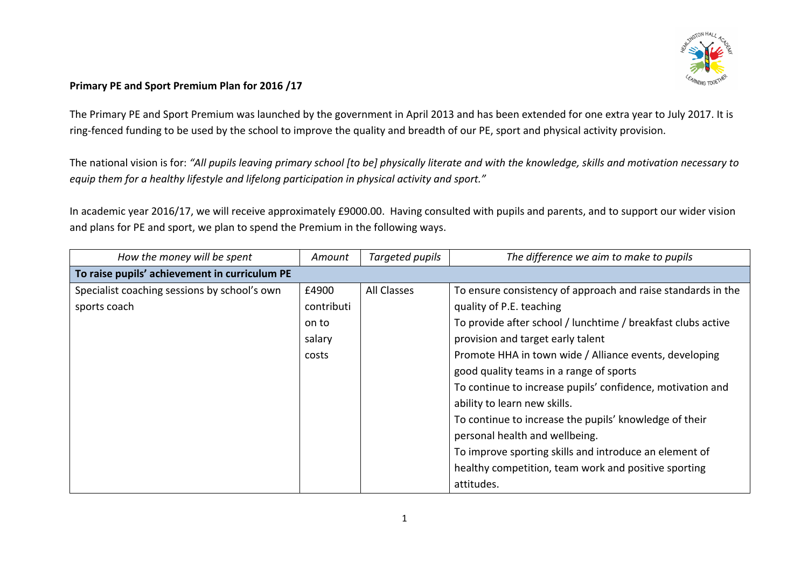

## Primary PE and Sport Premium Plan for 2016 /17

The Primary PE and Sport Premium was launched by the government in April 2013 and has been extended for one extra year to July 2017. It is ring-fenced funding to be used by the school to improve the quality and breadth of our PE, sport and physical activity provision.

The national vision is for: "All pupils leaving primary school [to be] physically literate and with the knowledge, skills and motivation necessary to equip them for a healthy lifestyle and lifelong participation in physical activity and sport."

In academic year 2016/17, we will receive approximately £9000.00. Having consulted with pupils and parents, and to support our wider vision and plans for PE and sport, we plan to spend the Premium in the following ways.

| How the money will be spent                   | Amount     | Targeted pupils    | The difference we aim to make to pupils                      |
|-----------------------------------------------|------------|--------------------|--------------------------------------------------------------|
| To raise pupils' achievement in curriculum PE |            |                    |                                                              |
| Specialist coaching sessions by school's own  | £4900      | <b>All Classes</b> | To ensure consistency of approach and raise standards in the |
| sports coach                                  | contributi |                    | quality of P.E. teaching                                     |
|                                               | on to      |                    | To provide after school / lunchtime / breakfast clubs active |
|                                               | salary     |                    | provision and target early talent                            |
|                                               | costs      |                    | Promote HHA in town wide / Alliance events, developing       |
|                                               |            |                    | good quality teams in a range of sports                      |
|                                               |            |                    | To continue to increase pupils' confidence, motivation and   |
|                                               |            |                    | ability to learn new skills.                                 |
|                                               |            |                    | To continue to increase the pupils' knowledge of their       |
|                                               |            |                    | personal health and wellbeing.                               |
|                                               |            |                    | To improve sporting skills and introduce an element of       |
|                                               |            |                    | healthy competition, team work and positive sporting         |
|                                               |            |                    | attitudes.                                                   |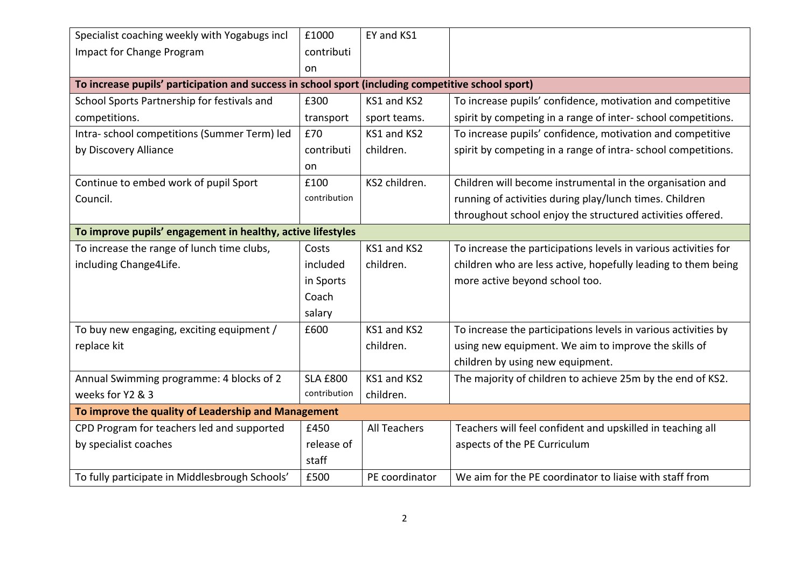| Specialist coaching weekly with Yogabugs incl                                                      | £1000           | EY and KS1          |                                                                 |  |  |  |  |
|----------------------------------------------------------------------------------------------------|-----------------|---------------------|-----------------------------------------------------------------|--|--|--|--|
| Impact for Change Program                                                                          | contributi      |                     |                                                                 |  |  |  |  |
|                                                                                                    | on              |                     |                                                                 |  |  |  |  |
| To increase pupils' participation and success in school sport (including competitive school sport) |                 |                     |                                                                 |  |  |  |  |
| School Sports Partnership for festivals and                                                        | £300            | KS1 and KS2         | To increase pupils' confidence, motivation and competitive      |  |  |  |  |
| competitions.                                                                                      | transport       | sport teams.        | spirit by competing in a range of inter-school competitions.    |  |  |  |  |
| Intra- school competitions (Summer Term) led                                                       | £70             | KS1 and KS2         | To increase pupils' confidence, motivation and competitive      |  |  |  |  |
| by Discovery Alliance                                                                              | contributi      | children.           | spirit by competing in a range of intra-school competitions.    |  |  |  |  |
|                                                                                                    | on              |                     |                                                                 |  |  |  |  |
| Continue to embed work of pupil Sport                                                              | £100            | KS2 children.       | Children will become instrumental in the organisation and       |  |  |  |  |
| Council.                                                                                           | contribution    |                     | running of activities during play/lunch times. Children         |  |  |  |  |
|                                                                                                    |                 |                     | throughout school enjoy the structured activities offered.      |  |  |  |  |
| To improve pupils' engagement in healthy, active lifestyles                                        |                 |                     |                                                                 |  |  |  |  |
| To increase the range of lunch time clubs,                                                         | Costs           | KS1 and KS2         | To increase the participations levels in various activities for |  |  |  |  |
| including Change4Life.                                                                             | included        | children.           | children who are less active, hopefully leading to them being   |  |  |  |  |
|                                                                                                    | in Sports       |                     | more active beyond school too.                                  |  |  |  |  |
|                                                                                                    | Coach           |                     |                                                                 |  |  |  |  |
|                                                                                                    | salary          |                     |                                                                 |  |  |  |  |
| To buy new engaging, exciting equipment /                                                          | £600            | KS1 and KS2         | To increase the participations levels in various activities by  |  |  |  |  |
| replace kit                                                                                        |                 | children.           | using new equipment. We aim to improve the skills of            |  |  |  |  |
|                                                                                                    |                 |                     | children by using new equipment.                                |  |  |  |  |
| Annual Swimming programme: 4 blocks of 2                                                           | <b>SLA £800</b> | KS1 and KS2         | The majority of children to achieve 25m by the end of KS2.      |  |  |  |  |
| weeks for Y2 & 3                                                                                   | contribution    | children.           |                                                                 |  |  |  |  |
| To improve the quality of Leadership and Management                                                |                 |                     |                                                                 |  |  |  |  |
| CPD Program for teachers led and supported                                                         | £450            | <b>All Teachers</b> | Teachers will feel confident and upskilled in teaching all      |  |  |  |  |
| by specialist coaches                                                                              | release of      |                     | aspects of the PE Curriculum                                    |  |  |  |  |
|                                                                                                    | staff           |                     |                                                                 |  |  |  |  |
| To fully participate in Middlesbrough Schools'                                                     | £500            | PE coordinator      | We aim for the PE coordinator to liaise with staff from         |  |  |  |  |